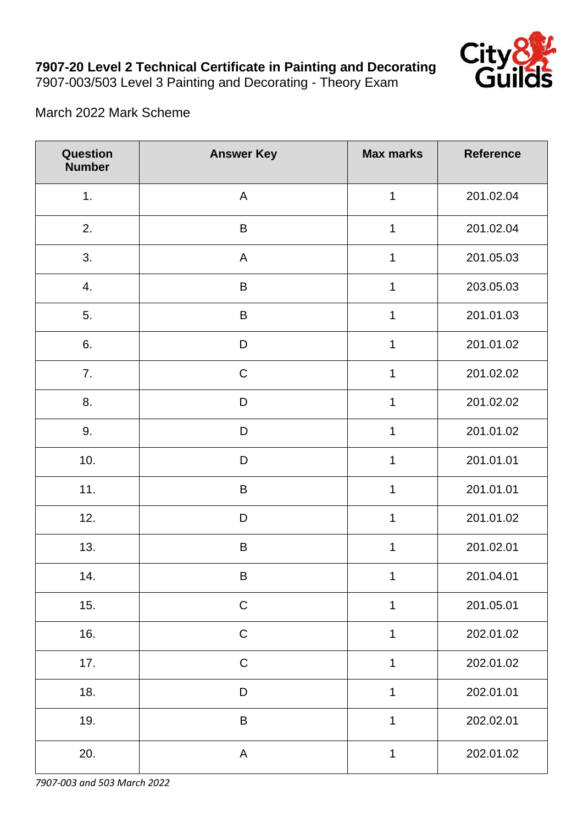

## March 2022 Mark Scheme

| Question<br><b>Number</b> | <b>Answer Key</b> | <b>Max marks</b> | <b>Reference</b> |
|---------------------------|-------------------|------------------|------------------|
| 1.                        | $\mathsf{A}$      | 1                | 201.02.04        |
| 2.                        | $\sf B$           | $\mathbf 1$      | 201.02.04        |
| 3.                        | $\mathsf{A}$      | $\mathbf 1$      | 201.05.03        |
| 4.                        | $\sf B$           | 1                | 203.05.03        |
| 5.                        | $\sf B$           | $\mathbf 1$      | 201.01.03        |
| 6.                        | $\mathsf D$       | 1                | 201.01.02        |
| 7.                        | ${\bf C}$         | $\mathbf 1$      | 201.02.02        |
| 8.                        | $\mathsf D$       | 1                | 201.02.02        |
| 9.                        | D                 | 1                | 201.01.02        |
| 10.                       | D                 | 1                | 201.01.01        |
| 11.                       | B                 | 1                | 201.01.01        |
| 12.                       | D                 | $\mathbf 1$      | 201.01.02        |
| 13.                       | $\sf B$           | 1                | 201.02.01        |
| 14.                       | B                 | 1                | 201.04.01        |
| 15.                       | $\mathsf C$       | 1                | 201.05.01        |
| 16.                       | $\mathsf C$       | 1                | 202.01.02        |
| 17.                       | $\mathsf C$       | $\mathbf 1$      | 202.01.02        |
| 18.                       | $\mathsf D$       | $\mathbf 1$      | 202.01.01        |
| 19.                       | $\sf B$           | 1                | 202.02.01        |
| 20.                       | $\mathsf{A}$      | 1                | 202.01.02        |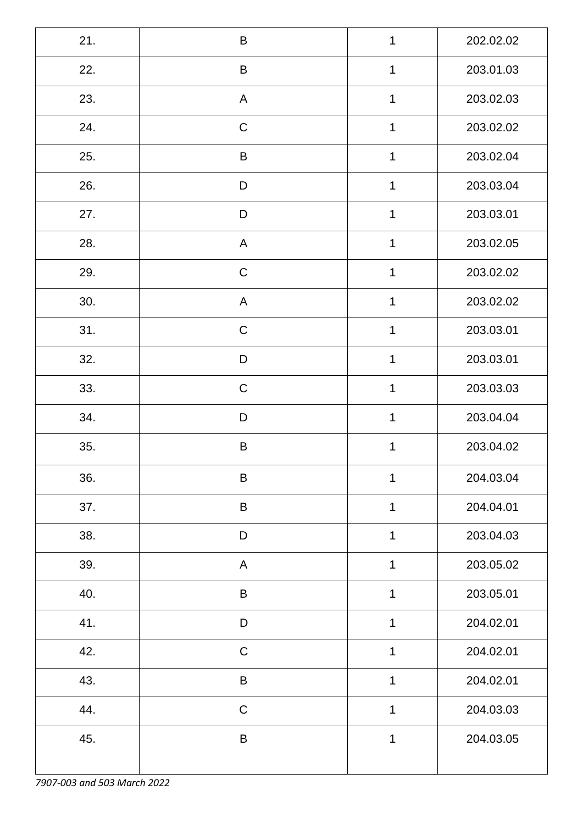| 21. | $\mathsf B$  | 1            | 202.02.02 |
|-----|--------------|--------------|-----------|
| 22. | $\sf B$      | $\mathbf 1$  | 203.01.03 |
| 23. | $\mathsf{A}$ | $\mathbf 1$  | 203.02.03 |
| 24. | $\mathsf C$  | 1            | 203.02.02 |
| 25. | $\mathsf B$  | $\mathbf 1$  | 203.02.04 |
| 26. | $\mathsf D$  | 1            | 203.03.04 |
| 27. | D            | $\mathbf 1$  | 203.03.01 |
| 28. | A            | 1            | 203.02.05 |
| 29. | $\mathsf C$  | $\mathbf 1$  | 203.02.02 |
| 30. | A            | 1            | 203.02.02 |
| 31. | $\mathsf C$  | $\mathbf 1$  | 203.03.01 |
| 32. | D            | 1            | 203.03.01 |
| 33. | $\mathsf C$  | 1            | 203.03.03 |
| 34. | D            | 1            | 203.04.04 |
| 35. | $\sf B$      | 1            | 203.04.02 |
| 36. | $\sf B$      | $\mathbf 1$  | 204.03.04 |
| 37. | $\sf B$      | $\mathbf{1}$ | 204.04.01 |
| 38. | $\mathsf D$  | $\mathbf 1$  | 203.04.03 |
| 39. | A            | $\mathbf 1$  | 203.05.02 |
| 40. | $\sf B$      | $\mathbf 1$  | 203.05.01 |
| 41. | $\mathsf D$  | $\mathbf 1$  | 204.02.01 |
| 42. | ${\bf C}$    | 1            | 204.02.01 |
| 43. | $\mathsf B$  | 1            | 204.02.01 |
| 44. | $\mathsf C$  | 1            | 204.03.03 |
| 45. | $\sf B$      | $\mathbf 1$  | 204.03.05 |